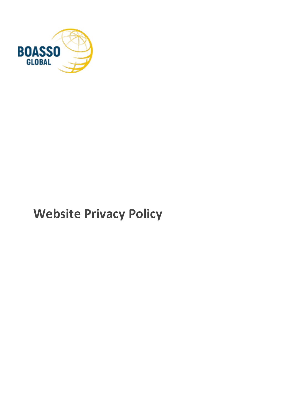

# **Website Privacy Policy**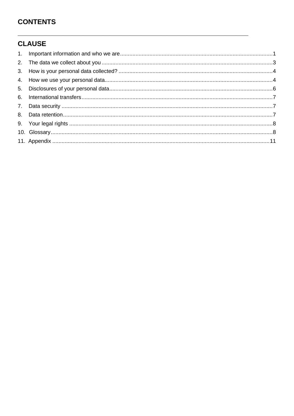# **CONTENTS**

# **CLAUSE**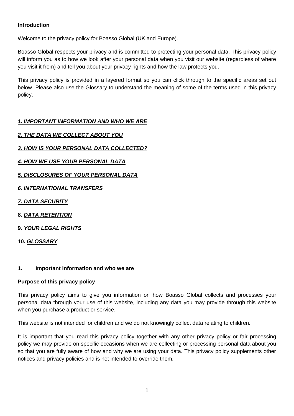# **Introduction**

Welcome to the privacy policy for Boasso Global (UK and Europe).

Boasso Global respects your privacy and is committed to protecting your personal data. This privacy policy will inform you as to how we look after your personal data when you visit our website (regardless of where you visit it from) and tell you about your privacy rights and how the law protects you.

This privacy policy is provided in a layered format so you can click through to the specific areas set out below. Please also use the Glossary to understand the meaning of some of the terms used in this privacy policy.

*[1. IMPORTANT INFORMATION AND WHO WE ARE](#page-2-0)*

*[2. THE DATA WE COLLECT ABOUT YOU](#page-4-0)*

- *[3. HOW IS YOUR PERSONAL DATA COLLECTED?](#page-5-0)*
- *[4. HOW WE USE YOUR PERSONAL DATA](#page-5-1)*
- *[5. DISCLOSURES OF YOUR PERSONAL DATA](#page-7-0)*
- *[6. INTERNATIONAL TRANSFERS](#page-8-0)*
- *[7. DATA SECURITY](#page-8-1)*
- **8.** *[DATA RETENTION](#page-8-2)*
- **9.** *[YOUR LEGAL RIGHTS](#page-9-0)*
- **10.** *[GLOSSARY](#page-9-1)*

#### <span id="page-2-0"></span>**1. Important information and who we are**

#### **Purpose of this privacy policy**

This privacy policy aims to give you information on how Boasso Global collects and processes your personal data through your use of this website, including any data you may provide through this website when you purchase a product or service.

This website is not intended for children and we do not knowingly collect data relating to children.

It is important that you read this privacy policy together with any other privacy policy or fair processing policy we may provide on specific occasions when we are collecting or processing personal data about you so that you are fully aware of how and why we are using your data. This privacy policy supplements other notices and privacy policies and is not intended to override them.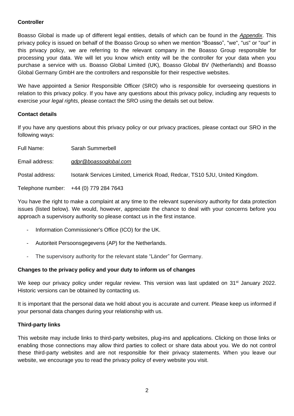# **Controller**

Boasso Global is made up of different legal entities, details of which can be found in the *[Appendix](#page-12-0)*. This privacy policy is issued on behalf of the Boasso Group so when we mention "Boasso", "we", "us" or "our" in this privacy policy, we are referring to the relevant company in the Boasso Group responsible for processing your data. We will let you know which entity will be the controller for your data when you purchase a service with us. Boasso Global Limited (UK), Boasso Global BV (Netherlands) and Boasso Global Germany GmbH are the controllers and responsible for their respective websites.

We have appointed a Senior Responsible Officer (SRO) who is responsible for overseeing questions in relation to this privacy policy. If you have any questions about this privacy policy, including any requests to exercise *your legal rights*, please contact the SRO using the details set out below.

# **Contact details**

If you have any questions about this privacy policy or our privacy practices, please contact our SRO in the following ways:

| Full Name:      | Sarah Summerbell                                                           |
|-----------------|----------------------------------------------------------------------------|
| Email address:  | gdpr@boassoglobal.com                                                      |
| Postal address: | Isotank Services Limited, Limerick Road, Redcar, TS10 5JU, United Kingdom. |
|                 | Telephone number: +44 (0) 779 284 7643                                     |

You have the right to make a complaint at any time to the relevant supervisory authority for data protection issues (listed below). We would, however, appreciate the chance to deal with your concerns before you approach a supervisory authority so please contact us in the first instance.

- Information Commissioner's Office (ICO) for the UK.
- Autoriteit Persoonsgegevens (AP) for the Netherlands.
- The supervisory authority for the relevant state "Länder" for Germany.

# **Changes to the privacy policy and your duty to inform us of changes**

We keep our privacy policy under regular review. This version was last updated on 31<sup>st</sup> January 2022. Historic versions can be obtained by contacting us.

It is important that the personal data we hold about you is accurate and current. Please keep us informed if your personal data changes during your relationship with us.

# **Third-party links**

This website may include links to third-party websites, plug-ins and applications. Clicking on those links or enabling those connections may allow third parties to collect or share data about you. We do not control these third-party websites and are not responsible for their privacy statements. When you leave our website, we encourage you to read the privacy policy of every website you visit.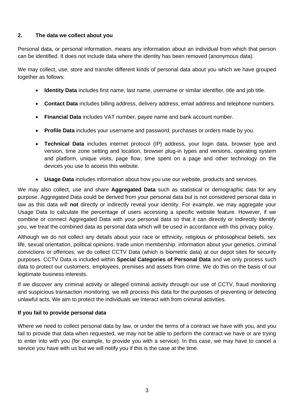### <span id="page-4-0"></span>**2. The data we collect about you**

Personal data, or personal information, means any information about an individual from which that person can be identified. It does not include data where the identity has been removed (anonymous data).

We may collect, use, store and transfer different kinds of personal data about you which we have grouped together as follows:

- **Identity Data** includes first name, last name, username or similar identifier, title and job title.
- **Contact Data** includes billing address, delivery address, email address and telephone numbers.
- **Financial Data** includes VAT number, payee name and bank account number.
- **Profile Data** includes your username and password, purchases or orders made by you.
- **Technical Data** includes internet protocol (IP) address, your login data, browser type and version, time zone setting and location, browser plug-in types and versions, operating system and platform, unique visits, page flow, time spent on a page and other technology on the devices you use to access this website.
- **Usage Data** includes information about how you use our website, products and services.

We may also collect, use and share **Aggregated Data** such as statistical or demographic data for any purpose. Aggregated Data could be derived from your personal data but is not considered personal data in law as this data will **not** directly or indirectly reveal your identity. For example, we may aggregate your Usage Data to calculate the percentage of users accessing a specific website feature. However, if we combine or connect Aggregated Data with your personal data so that it can directly or indirectly identify you, we treat the combined data as personal data which will be used in accordance with this privacy policy.

Although we do not collect any details about your race or ethnicity, religious or philosophical beliefs, sex life, sexual orientation, political opinions, trade union membership, information about your genetics, criminal convictions or offences; we do collect CCTV Data (which is biometric data) at our depot sites for security purposes. CCTV Data is included within **Special Categories of Personal Data** and we only process such data to protect our customers, employees, premises and assets from crime. We do this on the basis of our legitimate business interests.

If we discover any criminal activity or alleged criminal activity through our use of CCTV, fraud monitoring and suspicious transaction monitoring, we will process this data for the purposes of preventing or detecting unlawful acts. We aim to protect the individuals we interact with from criminal activities.

#### **If you fail to provide personal data**

Where we need to collect personal data by law, or under the terms of a contract we have with you, and you fail to provide that data when requested, we may not be able to perform the contract we have or are trying to enter into with you (for example, to provide you with a service). In this case, we may have to cancel a service you have with us but we will notify you if this is the case at the time.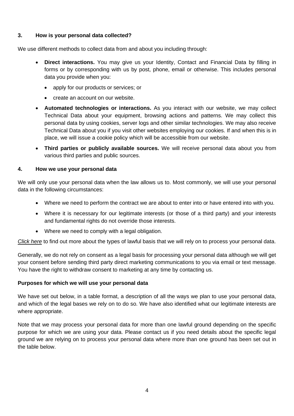## <span id="page-5-0"></span>**3. How is your personal data collected?**

We use different methods to collect data from and about you including through:

- **Direct interactions.** You may give us your Identity, Contact and Financial Data by filling in forms or by corresponding with us by post, phone, email or otherwise. This includes personal data you provide when you:
	- apply for our products or services; or
	- create an account on our website.
- **Automated technologies or interactions.** As you interact with our website, we may collect Technical Data about your equipment, browsing actions and patterns. We may collect this personal data by using cookies, server logs and other similar technologies. We may also receive Technical Data about you if you visit other websites employing our cookies. If and when this is in place, we will issue a cookie policy which will be accessible from our website.
- **Third parties or publicly available sources.** We will receive personal data about you from various third parties and public sources.

### <span id="page-5-1"></span>**4. How we use your personal data**

We will only use your personal data when the law allows us to. Most commonly, we will use your personal data in the following circumstances:

- Where we need to perform the contract we are about to enter into or have entered into with you.
- Where it is necessary for our legitimate interests (or those of a third party) and your interests and fundamental rights do not override those interests.
- Where we need to comply with a legal obligation.

*[Click here](#page-9-2)* to find out more about the types of lawful basis that we will rely on to process your personal data.

Generally, we do not rely on consent as a legal basis for processing your personal data although we will get your consent before sending third party direct marketing communications to you via email or text message. You have the right to withdraw consent to marketing at any time by contacting us.

# **Purposes for which we will use your personal data**

We have set out below, in a table format, a description of all the ways we plan to use your personal data, and which of the legal bases we rely on to do so. We have also identified what our legitimate interests are where appropriate.

Note that we may process your personal data for more than one lawful ground depending on the specific purpose for which we are using your data. Please contact us if you need details about the specific legal ground we are relying on to process your personal data where more than one ground has been set out in the table below.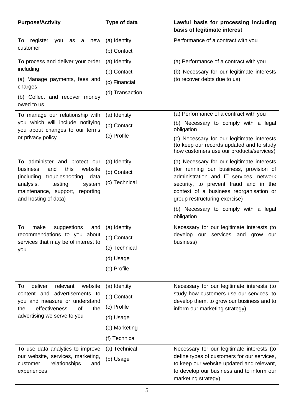| <b>Purpose/Activity</b>                                                                                                                                                                                     | Type of data                                                                              | Lawful basis for processing including<br>basis of legitimate interest                                                                                                                                                                                 |
|-------------------------------------------------------------------------------------------------------------------------------------------------------------------------------------------------------------|-------------------------------------------------------------------------------------------|-------------------------------------------------------------------------------------------------------------------------------------------------------------------------------------------------------------------------------------------------------|
| register<br>To<br>you<br>as<br>a<br>new                                                                                                                                                                     | (a) Identity                                                                              | Performance of a contract with you                                                                                                                                                                                                                    |
| customer                                                                                                                                                                                                    | (b) Contact                                                                               |                                                                                                                                                                                                                                                       |
| To process and deliver your order                                                                                                                                                                           | (a) Identity                                                                              | (a) Performance of a contract with you                                                                                                                                                                                                                |
| including:                                                                                                                                                                                                  | (b) Contact                                                                               | (b) Necessary for our legitimate interests                                                                                                                                                                                                            |
| (a) Manage payments, fees and<br>charges                                                                                                                                                                    | (c) Financial                                                                             | (to recover debts due to us)                                                                                                                                                                                                                          |
| (b) Collect and recover money                                                                                                                                                                               | (d) Transaction                                                                           |                                                                                                                                                                                                                                                       |
| owed to us                                                                                                                                                                                                  |                                                                                           | (a) Performance of a contract with you                                                                                                                                                                                                                |
| To manage our relationship with<br>you which will include notifying                                                                                                                                         | (a) Identity<br>(b) Contact                                                               | (b) Necessary to comply with a legal                                                                                                                                                                                                                  |
| you about changes to our terms                                                                                                                                                                              | obligation<br>(c) Profile                                                                 |                                                                                                                                                                                                                                                       |
| or privacy policy                                                                                                                                                                                           |                                                                                           | (c) Necessary for our legitimate interests<br>(to keep our records updated and to study<br>how customers use our products/services)                                                                                                                   |
| To administer and protect our<br>this<br>business<br>website<br>and<br>troubleshooting, data<br>(including<br>analysis,<br>testing,<br>system<br>maintenance, support,<br>reporting<br>and hosting of data) | (a) Identity<br>(b) Contact<br>(c) Technical                                              | (a) Necessary for our legitimate interests<br>(for running our business, provision of<br>administration and IT services, network<br>security, to prevent fraud and in the<br>context of a business reorganisation or<br>group restructuring exercise) |
|                                                                                                                                                                                                             |                                                                                           | (b) Necessary to comply with a legal<br>obligation                                                                                                                                                                                                    |
| To<br>make<br>suggestions<br>and                                                                                                                                                                            | (a) Identity                                                                              | Necessary for our legitimate interests (to                                                                                                                                                                                                            |
| recommendations to you about<br>services that may be of interest to                                                                                                                                         | (b) Contact                                                                               | develop our services and grow<br>our<br>business)                                                                                                                                                                                                     |
| you                                                                                                                                                                                                         | (c) Technical                                                                             |                                                                                                                                                                                                                                                       |
|                                                                                                                                                                                                             | (d) Usage                                                                                 |                                                                                                                                                                                                                                                       |
|                                                                                                                                                                                                             | (e) Profile                                                                               |                                                                                                                                                                                                                                                       |
| deliver<br>relevant<br>website<br>To<br>content and advertisements to<br>you and measure or understand<br>effectiveness<br>the<br>of<br>the<br>advertising we serve to you                                  | (a) Identity<br>(b) Contact<br>(c) Profile<br>(d) Usage<br>(e) Marketing<br>(f) Technical | Necessary for our legitimate interests (to<br>study how customers use our services, to<br>develop them, to grow our business and to<br>inform our marketing strategy)                                                                                 |
| To use data analytics to improve<br>our website, services, marketing,<br>relationships<br>customer<br>and<br>experiences                                                                                    | (a) Technical<br>(b) Usage                                                                | Necessary for our legitimate interests (to<br>define types of customers for our services,<br>to keep our website updated and relevant,<br>to develop our business and to inform our<br>marketing strategy)                                            |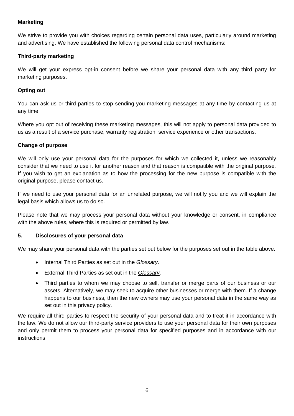# **Marketing**

We strive to provide you with choices regarding certain personal data uses, particularly around marketing and advertising. We have established the following personal data control mechanisms:

# **Third-party marketing**

We will get your express opt-in consent before we share your personal data with any third party for marketing purposes.

#### **Opting out**

You can ask us or third parties to stop sending you marketing messages at any time by contacting us at any time.

Where you opt out of receiving these marketing messages, this will not apply to personal data provided to us as a result of a service purchase, warranty registration, service experience or other transactions.

### **Change of purpose**

We will only use your personal data for the purposes for which we collected it, unless we reasonably consider that we need to use it for another reason and that reason is compatible with the original purpose. If you wish to get an explanation as to how the processing for the new purpose is compatible with the original purpose, please contact us.

If we need to use your personal data for an unrelated purpose, we will notify you and we will explain the legal basis which allows us to do so.

Please note that we may process your personal data without your knowledge or consent, in compliance with the above rules, where this is required or permitted by law.

#### <span id="page-7-0"></span>**5. Disclosures of your personal data**

We may share your personal data with the parties set out below for the purposes set out in the table above.

- Internal Third Parties as set out in the *[Glossary](#page-9-1)*.
- External Third Parties as set out in the *[Glossary](#page-9-1)*.
- Third parties to whom we may choose to sell, transfer or merge parts of our business or our assets. Alternatively, we may seek to acquire other businesses or merge with them. If a change happens to our business, then the new owners may use your personal data in the same way as set out in this privacy policy.

We require all third parties to respect the security of your personal data and to treat it in accordance with the law. We do not allow our third-party service providers to use your personal data for their own purposes and only permit them to process your personal data for specified purposes and in accordance with our instructions.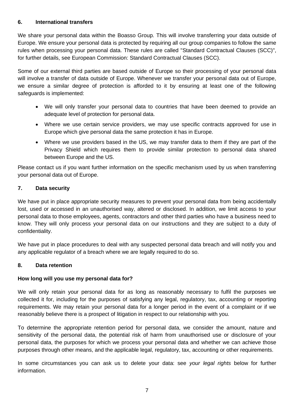# <span id="page-8-0"></span>**6. International transfers**

We share your personal data within the Boasso Group. This will involve transferring your data outside of Europe. We ensure your personal data is protected by requiring all our group companies to follow the same rules when processing your personal data. These rules are called "Standard Contractual Clauses (SCC)", for further details, see European Commission: Standard Contractual Clauses (SCC).

Some of our external third parties are based outside of Europe so their processing of your personal data will involve a transfer of data outside of Europe. Whenever we transfer your personal data out of Europe, we ensure a similar degree of protection is afforded to it by ensuring at least one of the following safeguards is implemented:

- We will only transfer your personal data to countries that have been deemed to provide an adequate level of protection for personal data.
- Where we use certain service providers, we may use specific contracts approved for use in Europe which give personal data the same protection it has in Europe.
- Where we use providers based in the US, we may transfer data to them if they are part of the Privacy Shield which requires them to provide similar protection to personal data shared between Europe and the US.

Please contact us if you want further information on the specific mechanism used by us when transferring your personal data out of Europe.

# <span id="page-8-1"></span>**7. Data security**

We have put in place appropriate security measures to prevent your personal data from being accidentally lost, used or accessed in an unauthorised way, altered or disclosed. In addition, we limit access to your personal data to those employees, agents, contractors and other third parties who have a business need to know. They will only process your personal data on our instructions and they are subject to a duty of confidentiality.

We have put in place procedures to deal with any suspected personal data breach and will notify you and any applicable regulator of a breach where we are legally required to do so.

# <span id="page-8-2"></span>**8. Data retention**

# **How long will you use my personal data for?**

We will only retain your personal data for as long as reasonably necessary to fulfil the purposes we collected it for, including for the purposes of satisfying any legal, regulatory, tax, accounting or reporting requirements. We may retain your personal data for a longer period in the event of a complaint or if we reasonably believe there is a prospect of litigation in respect to our relationship with you.

To determine the appropriate retention period for personal data, we consider the amount, nature and sensitivity of the personal data, the potential risk of harm from unauthorised use or disclosure of your personal data, the purposes for which we process your personal data and whether we can achieve those purposes through other means, and the applicable legal, regulatory, tax, accounting or other requirements.

In some circumstances you can ask us to delete your data: see *your legal rights* below for further information.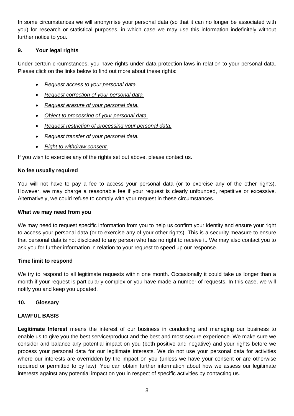In some circumstances we will anonymise your personal data (so that it can no longer be associated with you) for research or statistical purposes, in which case we may use this information indefinitely without further notice to you.

## <span id="page-9-0"></span>**9. Your legal rights**

Under certain circumstances, you have rights under data protection laws in relation to your personal data. Please click on the links below to find out more about these rights:

- *[Request access to your personal data.](#page-10-0)*
- *[Request correction of your personal data.](#page-10-1)*
- *[Request erasure of your personal data.](#page-10-2)*
- *[Object to processing of your personal data.](#page-11-0)*
- *[Request restriction of processing your personal data.](#page-11-1)*
- *[Request transfer of your personal data.](#page-11-2)*
- *[Right to withdraw consent.](#page-11-3)*

If you wish to exercise any of the rights set out above, please contact us.

#### **No fee usually required**

You will not have to pay a fee to access your personal data (or to exercise any of the other rights). However, we may charge a reasonable fee if your request is clearly unfounded, repetitive or excessive. Alternatively, we could refuse to comply with your request in these circumstances.

#### **What we may need from you**

We may need to request specific information from you to help us confirm your identity and ensure your right to access your personal data (or to exercise any of your other rights). This is a security measure to ensure that personal data is not disclosed to any person who has no right to receive it. We may also contact you to ask you for further information in relation to your request to speed up our response.

#### **Time limit to respond**

We try to respond to all legitimate requests within one month. Occasionally it could take us longer than a month if your request is particularly complex or you have made a number of requests. In this case, we will notify you and keep you updated.

#### <span id="page-9-1"></span>**10. Glossary**

#### <span id="page-9-2"></span>**LAWFUL BASIS**

**Legitimate Interest** means the interest of our business in conducting and managing our business to enable us to give you the best service/product and the best and most secure experience. We make sure we consider and balance any potential impact on you (both positive and negative) and your rights before we process your personal data for our legitimate interests. We do not use your personal data for activities where our interests are overridden by the impact on you (unless we have your consent or are otherwise required or permitted to by law). You can obtain further information about how we assess our legitimate interests against any potential impact on you in respect of specific activities by contacting us.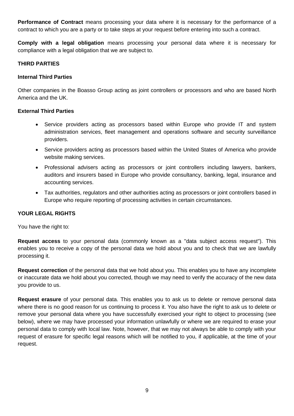**Performance of Contract** means processing your data where it is necessary for the performance of a contract to which you are a party or to take steps at your request before entering into such a contract.

**Comply with a legal obligation** means processing your personal data where it is necessary for compliance with a legal obligation that we are subject to.

### **THIRD PARTIES**

#### **Internal Third Parties**

Other companies in the Boasso Group acting as joint controllers or processors and who are based North America and the UK.

### **External Third Parties**

- Service providers acting as processors based within Europe who provide IT and system administration services, fleet management and operations software and security surveillance providers.
- Service providers acting as processors based within the United States of America who provide website making services.
- Professional advisers acting as processors or joint controllers including lawyers, bankers, auditors and insurers based in Europe who provide consultancy, banking, legal, insurance and accounting services.
- Tax authorities, regulators and other authorities acting as processors or joint controllers based in Europe who require reporting of processing activities in certain circumstances.

# **YOUR LEGAL RIGHTS**

You have the right to:

<span id="page-10-0"></span>**Request access** to your personal data (commonly known as a "data subject access request"). This enables you to receive a copy of the personal data we hold about you and to check that we are lawfully processing it.

<span id="page-10-1"></span>**Request correction** of the personal data that we hold about you. This enables you to have any incomplete or inaccurate data we hold about you corrected, though we may need to verify the accuracy of the new data you provide to us.

<span id="page-10-2"></span>**Request erasure** of your personal data. This enables you to ask us to delete or remove personal data where there is no good reason for us continuing to process it. You also have the right to ask us to delete or remove your personal data where you have successfully exercised your right to object to processing (see below), where we may have processed your information unlawfully or where we are required to erase your personal data to comply with local law. Note, however, that we may not always be able to comply with your request of erasure for specific legal reasons which will be notified to you, if applicable, at the time of your request.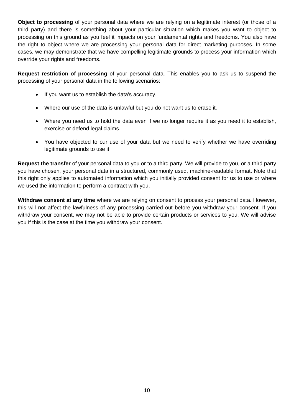<span id="page-11-0"></span>**Object to processing** of your personal data where we are relying on a legitimate interest (or those of a third party) and there is something about your particular situation which makes you want to object to processing on this ground as you feel it impacts on your fundamental rights and freedoms. You also have the right to object where we are processing your personal data for direct marketing purposes. In some cases, we may demonstrate that we have compelling legitimate grounds to process your information which override your rights and freedoms.

<span id="page-11-1"></span>**Request restriction of processing** of your personal data. This enables you to ask us to suspend the processing of your personal data in the following scenarios:

- If you want us to establish the data's accuracy.
- Where our use of the data is unlawful but you do not want us to erase it.
- Where you need us to hold the data even if we no longer require it as you need it to establish, exercise or defend legal claims.
- You have objected to our use of your data but we need to verify whether we have overriding legitimate grounds to use it.

<span id="page-11-2"></span>**Request the transfer** of your personal data to you or to a third party. We will provide to you, or a third party you have chosen, your personal data in a structured, commonly used, machine-readable format. Note that this right only applies to automated information which you initially provided consent for us to use or where we used the information to perform a contract with you.

<span id="page-11-3"></span>**Withdraw consent at any time** where we are relying on consent to process your personal data. However, this will not affect the lawfulness of any processing carried out before you withdraw your consent. If you withdraw your consent, we may not be able to provide certain products or services to you. We will advise you if this is the case at the time you withdraw your consent.